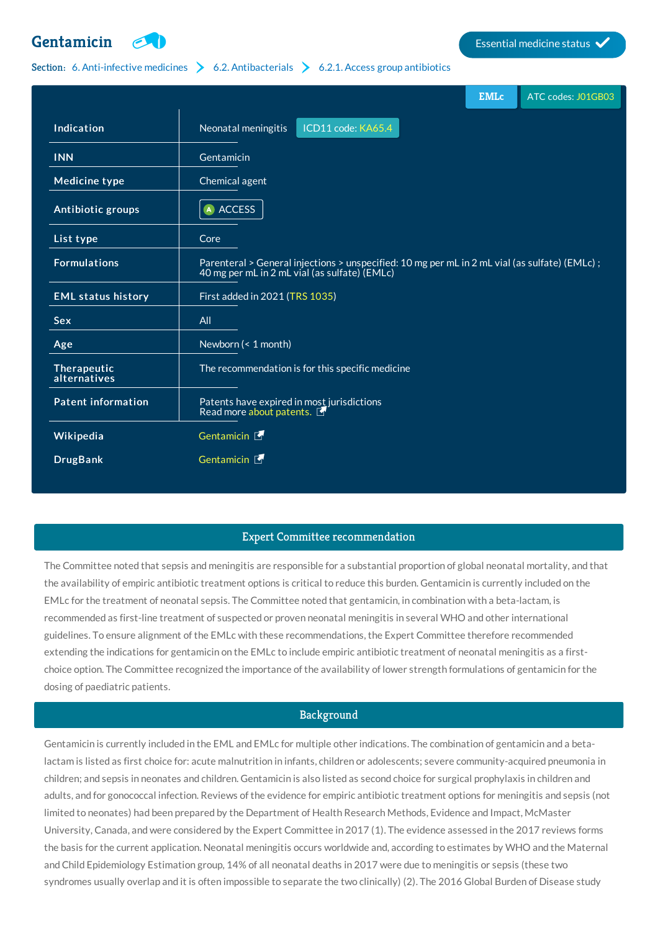# **[Gentamicin](http://list.essentialmeds.org/medicines/229) Extending the Contract of Contract of Contract of Contract of Contract of Contract of Contract of Contract of Contract of Contract of Contract of Contract of Contract of Contract of Contract of Contract of Co**



## Section: 6. [Anti-infective](http://list.essentialmeds.org/?section=332) medicines  $\geq 6.2$ . [Antibacterials](http://list.essentialmeds.org/?section=337)  $\geq 6.2.1$ . Access group [antibiotics](http://list.essentialmeds.org/?section=338)

|                             |                                                                                                                                                | <b>EMLc</b> | ATC codes: J01GB03 |
|-----------------------------|------------------------------------------------------------------------------------------------------------------------------------------------|-------------|--------------------|
| Indication                  | ICD11 code: KA65.4<br>Neonatal meningitis                                                                                                      |             |                    |
| <b>INN</b>                  | Gentamicin                                                                                                                                     |             |                    |
| <b>Medicine type</b>        | Chemical agent                                                                                                                                 |             |                    |
| Antibiotic groups           | A ACCESS                                                                                                                                       |             |                    |
| List type                   | Core                                                                                                                                           |             |                    |
| <b>Formulations</b>         | Parenteral > General injections > unspecified: 10 mg per mL in 2 mL vial (as sulfate) (EMLc);<br>40 mg per mL in 2 mL vial (as sulfate) (EMLc) |             |                    |
| <b>EML status history</b>   | First added in 2021 (TRS 1035)                                                                                                                 |             |                    |
| <b>Sex</b>                  | All                                                                                                                                            |             |                    |
| Age                         | Newborn (< 1 month)                                                                                                                            |             |                    |
| Therapeutic<br>alternatives | The recommendation is for this specific medicine                                                                                               |             |                    |
| <b>Patent information</b>   | Patents have expired in most jurisdictions<br>Read more about patents.                                                                         |             |                    |
| Wikipedia                   | Gentamicin M                                                                                                                                   |             |                    |
| <b>DrugBank</b>             | Gentamicin E                                                                                                                                   |             |                    |

# Expert Committee recommendation

The Committee noted that sepsis and meningitis are responsible for a substantial proportion of global neonatal mortality, and that the availability of empiric antibiotic treatment options is critical to reduce this burden. Gentamicin is currently included on the EMLc for the treatment of neonatal sepsis. The Committee noted that gentamicin, in combination with a beta-lactam, is recommended as first-line treatment of suspected or proven neonatal meningitis in several WHO and other international guidelines. To ensure alignment of the EMLc with these recommendations, the Expert Committee therefore recommended extending the indications for gentamicin on the EMLc to include empiric antibiotic treatment of neonatal meningitis as a firstchoice option. The Committee recognized the importance of the availability of lower strength formulations of gentamicin for the dosing of paediatric patients.

### **Background**

Gentamicin is currently included in the EML and EMLc for multiple other indications. The combination of gentamicin and a betalactam is listed as first choice for: acute malnutrition in infants, children or adolescents; severe community-acquired pneumonia in children; and sepsis in neonates and children. Gentamicin is also listed as second choice for surgical prophylaxis in children and adults, and for gonococcal infection. Reviews of the evidence for empiric antibiotic treatment options for meningitis and sepsis (not limited to neonates) had been prepared by the Department of Health Research Methods, Evidence and Impact, McMaster University, Canada, and were considered by the Expert Committee in 2017 (1). The evidence assessed in the 2017 reviews forms the basis for the current application. Neonatal meningitis occurs worldwide and, according to estimates by WHO and the Maternal and Child Epidemiology Estimation group, 14% of all neonatal deaths in 2017 were due to meningitis or sepsis (these two syndromes usually overlap and it is often impossible to separate the two clinically) (2). The 2016 Global Burden of Disease study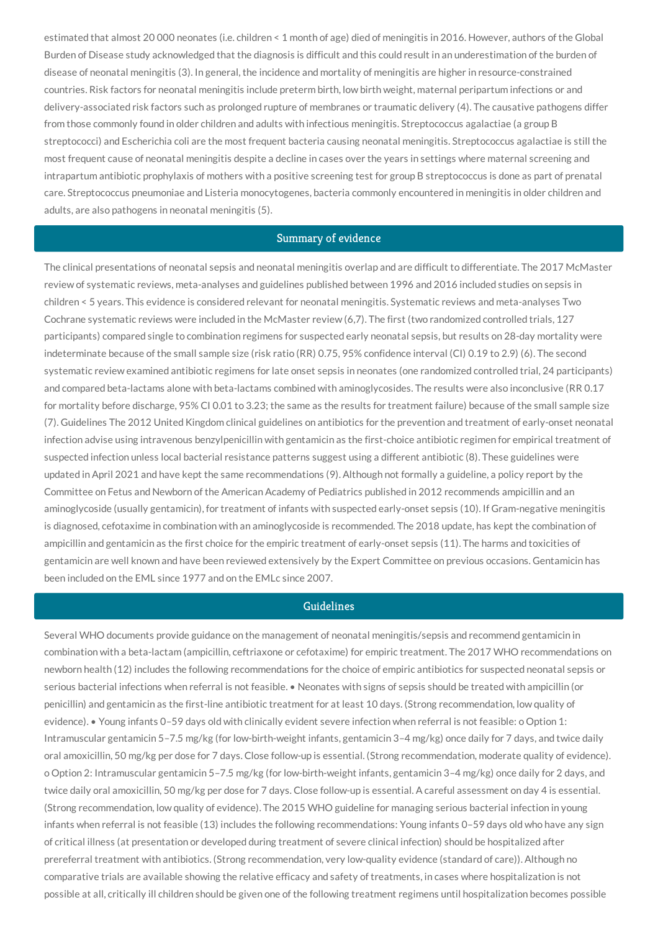estimated that almost 20 000 neonates (i.e. children < 1 month of age) died of meningitis in 2016. However, authors of the Global Burden of Disease study acknowledged that the diagnosis is difficult and this could result in an underestimation of the burden of disease of neonatal meningitis (3). In general, the incidence and mortality of meningitis are higher in resource-constrained countries. Risk factors for neonatal meningitis include preterm birth, low birth weight, maternal peripartum infections or and delivery-associated risk factors such as prolonged rupture of membranes or traumatic delivery (4). The causative pathogens differ from those commonly found in older children and adults with infectious meningitis. Streptococcus agalactiae (a group B streptococci) and Escherichia coli are the most frequent bacteria causing neonatal meningitis. Streptococcus agalactiae is still the most frequent cause of neonatal meningitis despite a decline in cases over the years in settings where maternal screening and intrapartum antibiotic prophylaxis of mothers with a positive screening test for group B streptococcus is done as part of prenatal care. Streptococcus pneumoniae and Listeria monocytogenes, bacteria commonly encountered in meningitis in older children and adults, are also pathogens in neonatal meningitis (5).

#### Summary of evidence

The clinical presentations of neonatal sepsis and neonatal meningitis overlap and are difficult to differentiate. The 2017 McMaster review of systematic reviews, meta-analyses and guidelines published between 1996 and 2016 included studies on sepsis in children < 5 years. This evidence is considered relevant for neonatal meningitis. Systematic reviews and meta-analyses Two Cochrane systematic reviews were included in the McMaster review (6,7). The first (two randomized controlled trials, 127 participants) compared single to combination regimens for suspected early neonatal sepsis, but results on 28-day mortality were indeterminate because of the small sample size (risk ratio (RR) 0.75, 95% confidence interval (CI) 0.19 to 2.9) (6). The second systematic review examined antibiotic regimens for late onset sepsis in neonates (one randomized controlled trial, 24 participants) and compared beta-lactams alone with beta-lactams combined with aminoglycosides. The results were also inconclusive (RR 0.17 for mortality before discharge, 95% CI 0.01 to 3.23; the same as the results for treatment failure) because of the small sample size (7). Guidelines The 2012 United Kingdom clinical guidelines on antibiotics for the prevention and treatment of early-onset neonatal infection advise using intravenous benzylpenicillin with gentamicin as the first-choice antibiotic regimen for empirical treatment of suspected infection unless local bacterial resistance patterns suggest using a different antibiotic (8). These guidelines were updated in April 2021 and have kept the same recommendations (9). Although not formally a guideline, a policy report by the Committee on Fetus and Newborn of the American Academy of Pediatrics published in 2012 recommends ampicillin and an aminoglycoside (usually gentamicin), for treatment of infants with suspected early-onset sepsis (10). If Gram-negative meningitis is diagnosed, cefotaxime in combination with an aminoglycoside is recommended. The 2018 update, has kept the combination of ampicillin and gentamicin as the first choice for the empiric treatment of early-onset sepsis (11). The harms and toxicities of gentamicin are well known and have been reviewed extensively by the Expert Committee on previous occasions. Gentamicin has been included on the EML since 1977 and on the EMLc since 2007.

## Guidelines

Several WHO documents provide guidance on the management of neonatal meningitis/sepsis and recommend gentamicin in combination with a beta-lactam (ampicillin, ceftriaxone or cefotaxime) for empiric treatment. The 2017 WHO recommendations on newborn health (12) includes the following recommendations for the choice of empiric antibiotics for suspected neonatal sepsis or serious bacterial infections when referral is not feasible. • Neonates with signs of sepsis should be treated with ampicillin (or penicillin) and gentamicin as the first-line antibiotic treatment for at least 10 days. (Strong recommendation, low quality of evidence). • Young infants 0–59 days old with clinically evident severe infection when referral is not feasible: o Option 1: Intramuscular gentamicin 5–7.5 mg/kg (for low-birth-weight infants, gentamicin 3–4 mg/kg) once daily for 7 days, and twice daily oral amoxicillin, 50 mg/kg per dose for 7 days. Close follow-up is essential. (Strong recommendation, moderate quality of evidence). o Option 2: Intramuscular gentamicin 5–7.5 mg/kg (for low-birth-weight infants, gentamicin 3–4 mg/kg) once daily for 2 days, and twice daily oral amoxicillin, 50 mg/kg per dose for 7 days. Close follow-up is essential. A careful assessment on day 4 is essential. (Strong recommendation, low quality of evidence). The 2015 WHO guideline for managing serious bacterial infection in young infants when referral is not feasible (13) includes the following recommendations: Young infants 0–59 days old who have any sign of critical illness (at presentation or developed during treatment of severe clinical infection) should be hospitalized after prereferral treatment with antibiotics. (Strong recommendation, very low-quality evidence (standard of care)). Although no comparative trials are available showing the relative efficacy and safety of treatments, in cases where hospitalization is not possible at all, critically ill children should be given one of the following treatment regimens until hospitalization becomes possible